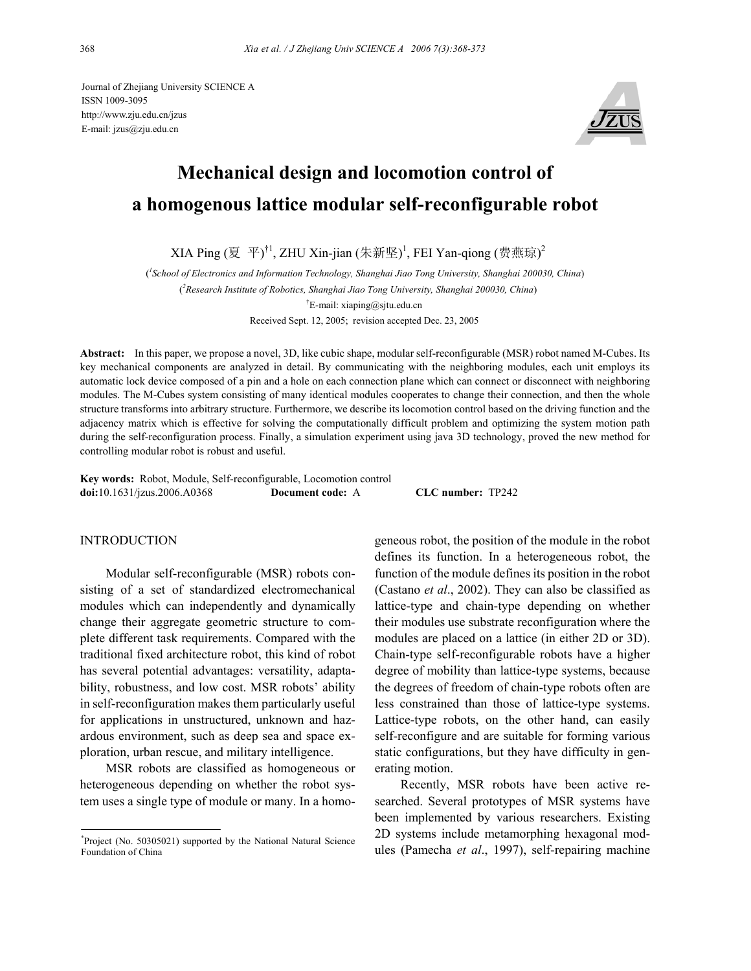Journal of Zhejiang University SCIENCE A ISSN 1009-3095 http://www.zju.edu.cn/jzus E-mail: jzus@zju.edu.cn



# **Mechanical design and locomotion control of a homogenous lattice modular self-reconfigurable robot**

XIA Ping (夏 平)†1, ZHU Xin-jian (朱新坚)<sup>1</sup>, FEI Yan-qiong (费燕琼)<sup>2</sup>

( *1 School of Electronics and Information Technology, Shanghai Jiao Tong University, Shanghai 200030, China*) ( *2 Research Institute of Robotics, Shanghai Jiao Tong University, Shanghai 200030, China*) † E-mail: xiaping@sjtu.edu.cn

Received Sept. 12, 2005; revision accepted Dec. 23, 2005

**Abstract:** In this paper, we propose a novel, 3D, like cubic shape, modular self-reconfigurable (MSR) robot named M-Cubes. Its key mechanical components are analyzed in detail. By communicating with the neighboring modules, each unit employs its automatic lock device composed of a pin and a hole on each connection plane which can connect or disconnect with neighboring modules. The M-Cubes system consisting of many identical modules cooperates to change their connection, and then the whole structure transforms into arbitrary structure. Furthermore, we describe its locomotion control based on the driving function and the adjacency matrix which is effective for solving the computationally difficult problem and optimizing the system motion path during the self-reconfiguration process. Finally, a simulation experiment using java 3D technology, proved the new method for controlling modular robot is robust and useful.

**Key words:** Robot, Module, Self-reconfigurable, Locomotion control **doi:**10.1631/jzus.2006.A0368 **Document code:** A **CLC number:** TP242

### INTRODUCTION

Modular self-reconfigurable (MSR) robots consisting of a set of standardized electromechanical modules which can independently and dynamically change their aggregate geometric structure to complete different task requirements. Compared with the traditional fixed architecture robot, this kind of robot has several potential advantages: versatility, adaptability, robustness, and low cost. MSR robots' ability in self-reconfiguration makes them particularly useful for applications in unstructured, unknown and hazardous environment, such as deep sea and space exploration, urban rescue, and military intelligence.

MSR robots are classified as homogeneous or heterogeneous depending on whether the robot system uses a single type of module or many. In a homogeneous robot, the position of the module in the robot defines its function. In a heterogeneous robot, the function of the module defines its position in the robot (Castano *et al*., 2002). They can also be classified as lattice-type and chain-type depending on whether their modules use substrate reconfiguration where the modules are placed on a lattice (in either 2D or 3D). Chain-type self-reconfigurable robots have a higher degree of mobility than lattice-type systems, because the degrees of freedom of chain-type robots often are less constrained than those of lattice-type systems. Lattice-type robots, on the other hand, can easily self-reconfigure and are suitable for forming various static configurations, but they have difficulty in generating motion.

Recently, MSR robots have been active researched. Several prototypes of MSR systems have been implemented by various researchers. Existing 2D systems include metamorphing hexagonal modules (Pamecha *et al*., 1997), self-repairing machine

<sup>\*</sup> Project (No. 50305021) supported by the National Natural Science Foundation of China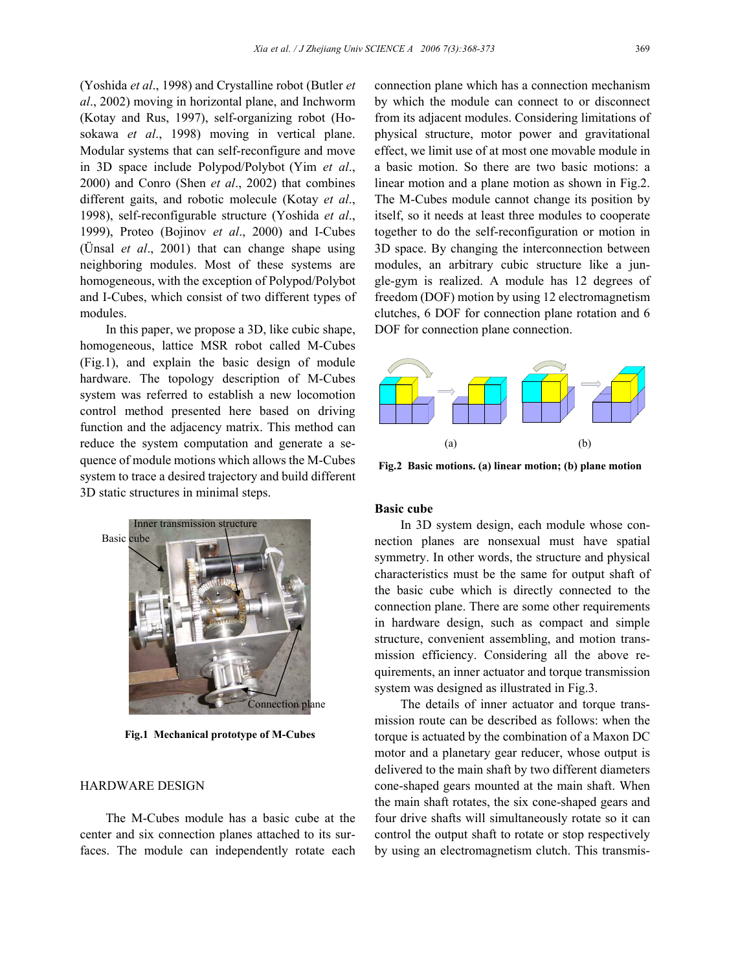(Yoshida *et al*., 1998) and Crystalline robot (Butler *et al*., 2002) moving in horizontal plane, and Inchworm (Kotay and Rus, 1997), self-organizing robot (Hosokawa *et al*., 1998) moving in vertical plane. Modular systems that can self-reconfigure and move in 3D space include Polypod/Polybot (Yim *et al*., 2000) and Conro (Shen *et al*., 2002) that combines different gaits, and robotic molecule (Kotay *et al*., 1998), self-reconfigurable structure (Yoshida *et al*., 1999), Proteo (Bojinov *et al*., 2000) and I-Cubes (Ünsal *et al*., 2001) that can change shape using neighboring modules. Most of these systems are homogeneous, with the exception of Polypod/Polybot and I-Cubes, which consist of two different types of modules.

In this paper, we propose a 3D, like cubic shape, homogeneous, lattice MSR robot called M-Cubes (Fig.1), and explain the basic design of module hardware. The topology description of M-Cubes system was referred to establish a new locomotion control method presented here based on driving function and the adjacency matrix. This method can reduce the system computation and generate a sequence of module motions which allows the M-Cubes system to trace a desired trajectory and build different 3D static structures in minimal steps.



**Fig.1 Mechanical prototype of M-Cubes** 

## HARDWARE DESIGN

The M-Cubes module has a basic cube at the center and six connection planes attached to its surfaces. The module can independently rotate each

connection plane which has a connection mechanism by which the module can connect to or disconnect from its adjacent modules. Considering limitations of physical structure, motor power and gravitational effect, we limit use of at most one movable module in a basic motion. So there are two basic motions: a linear motion and a plane motion as shown in Fig.2. The M-Cubes module cannot change its position by itself, so it needs at least three modules to cooperate together to do the self-reconfiguration or motion in 3D space. By changing the interconnection between modules, an arbitrary cubic structure like a jungle-gym is realized. A module has 12 degrees of freedom (DOF) motion by using 12 electromagnetism clutches, 6 DOF for connection plane rotation and 6 DOF for connection plane connection.



**Fig.2 Basic motions. (a) linear motion; (b) plane motion**

# **Basic cube**

In 3D system design, each module whose connection planes are nonsexual must have spatial symmetry. In other words, the structure and physical characteristics must be the same for output shaft of the basic cube which is directly connected to the connection plane. There are some other requirements in hardware design, such as compact and simple structure, convenient assembling, and motion transmission efficiency. Considering all the above requirements, an inner actuator and torque transmission system was designed as illustrated in Fig.3.

The details of inner actuator and torque transmission route can be described as follows: when the torque is actuated by the combination of a Maxon DC motor and a planetary gear reducer, whose output is delivered to the main shaft by two different diameters cone-shaped gears mounted at the main shaft. When the main shaft rotates, the six cone-shaped gears and four drive shafts will simultaneously rotate so it can control the output shaft to rotate or stop respectively by using an electromagnetism clutch. This transmis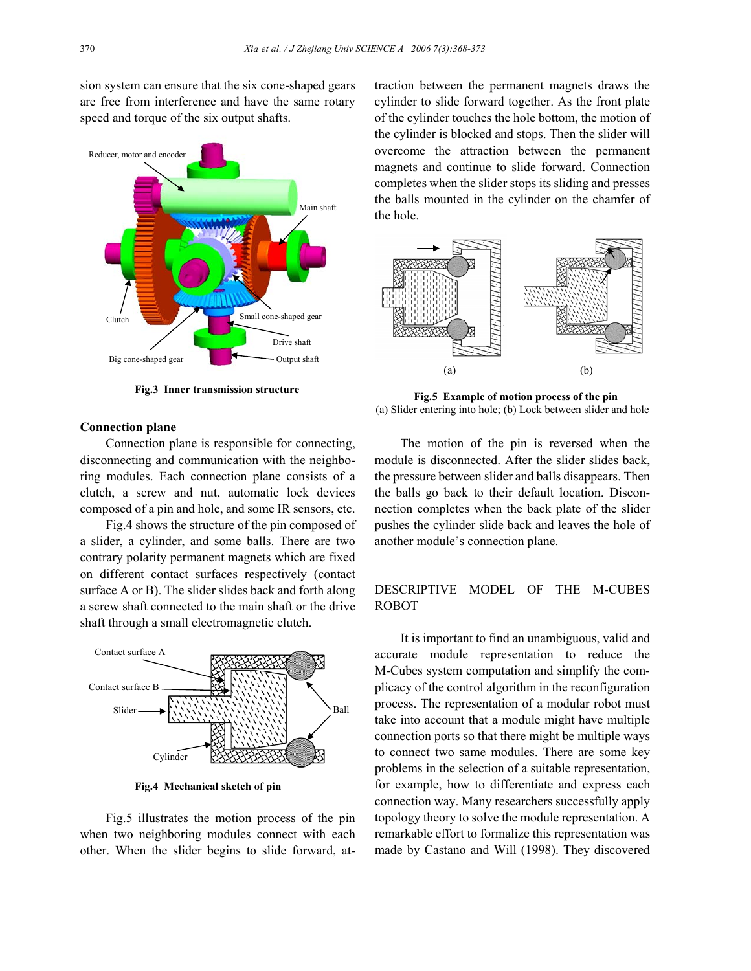sion system can ensure that the six cone-shaped gears are free from interference and have the same rotary speed and torque of the six output shafts.



**Fig.3 Inner transmission structure** 

#### **Connection plane**

Connection plane is responsible for connecting, disconnecting and communication with the neighboring modules. Each connection plane consists of a clutch, a screw and nut, automatic lock devices composed of a pin and hole, and some IR sensors, etc.

Fig.4 shows the structure of the pin composed of a slider, a cylinder, and some balls. There are two contrary polarity permanent magnets which are fixed on different contact surfaces respectively (contact surface A or B). The slider slides back and forth along a screw shaft connected to the main shaft or the drive shaft through a small electromagnetic clutch.



**Fig.4 Mechanical sketch of pin** 

Fig.5 illustrates the motion process of the pin when two neighboring modules connect with each other. When the slider begins to slide forward, attraction between the permanent magnets draws the cylinder to slide forward together. As the front plate of the cylinder touches the hole bottom, the motion of the cylinder is blocked and stops. Then the slider will overcome the attraction between the permanent magnets and continue to slide forward. Connection completes when the slider stops its sliding and presses the balls mounted in the cylinder on the chamfer of the hole.



**Fig.5 Example of motion process of the pin**  (a) Slider entering into hole; (b) Lock between slider and hole

The motion of the pin is reversed when the module is disconnected. After the slider slides back, the pressure between slider and balls disappears. Then the balls go back to their default location. Disconnection completes when the back plate of the slider pushes the cylinder slide back and leaves the hole of another module's connection plane.

# DESCRIPTIVE MODEL OF THE M-CUBES ROBOT

It is important to find an unambiguous, valid and accurate module representation to reduce the M-Cubes system computation and simplify the complicacy of the control algorithm in the reconfiguration process. The representation of a modular robot must take into account that a module might have multiple connection ports so that there might be multiple ways to connect two same modules. There are some key problems in the selection of a suitable representation, for example, how to differentiate and express each connection way. Many researchers successfully apply topology theory to solve the module representation. A remarkable effort to formalize this representation was made by Castano and Will (1998). They discovered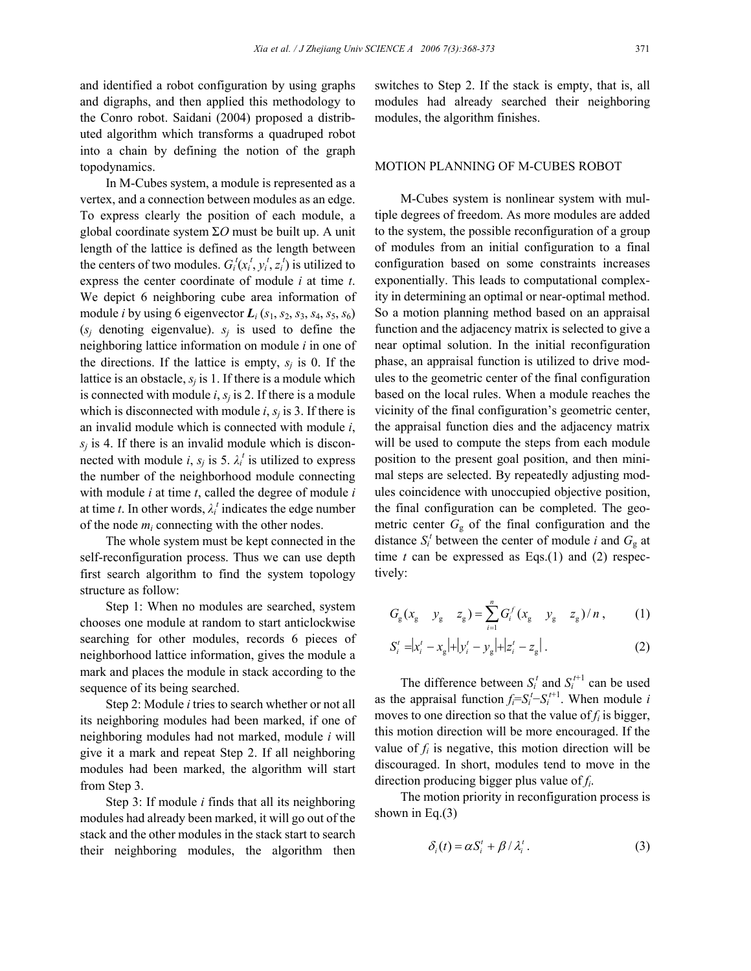and identified a robot configuration by using graphs and digraphs, and then applied this methodology to the Conro robot. Saidani (2004) proposed a distributed algorithm which transforms a quadruped robot into a chain by defining the notion of the graph topodynamics.

In M-Cubes system, a module is represented as a vertex, and a connection between modules as an edge. To express clearly the position of each module, a global coordinate system Σ*O* must be built up. A unit length of the lattice is defined as the length between the centers of two modules.  $G_i^t(x_i^t, y_i^t, z_i^t)$  is utilized to express the center coordinate of module *i* at time *t*. We depict 6 neighboring cube area information of module *i* by using 6 eigenvector  $L_i$  ( $s_1$ ,  $s_2$ ,  $s_3$ ,  $s_4$ ,  $s_5$ ,  $s_6$ )  $(s_i)$  denoting eigenvalue).  $s_i$  is used to define the neighboring lattice information on module *i* in one of the directions. If the lattice is empty,  $s_i$  is 0. If the lattice is an obstacle,  $s_i$  is 1. If there is a module which is connected with module  $i$ ,  $s<sub>i</sub>$  is 2. If there is a module which is disconnected with module  $i$ ,  $s_j$  is 3. If there is an invalid module which is connected with module *i*,  $s_j$  is 4. If there is an invalid module which is disconnected with module *i*,  $s_j$  is 5.  $\lambda_i^t$  is utilized to express the number of the neighborhood module connecting with module *i* at time *t*, called the degree of module *i* at time *t*. In other words,  $\lambda_i^t$  indicates the edge number of the node  $m_i$  connecting with the other nodes.

The whole system must be kept connected in the self-reconfiguration process. Thus we can use depth first search algorithm to find the system topology structure as follow:

Step 1: When no modules are searched, system chooses one module at random to start anticlockwise searching for other modules, records 6 pieces of neighborhood lattice information, gives the module a mark and places the module in stack according to the sequence of its being searched.

Step 2: Module *i* tries to search whether or not all its neighboring modules had been marked, if one of neighboring modules had not marked, module *i* will give it a mark and repeat Step 2. If all neighboring modules had been marked, the algorithm will start from Step 3.

Step 3: If module *i* finds that all its neighboring modules had already been marked, it will go out of the stack and the other modules in the stack start to search their neighboring modules, the algorithm then switches to Step 2. If the stack is empty, that is, all modules had already searched their neighboring modules, the algorithm finishes.

## MOTION PLANNING OF M-CUBES ROBOT

M-Cubes system is nonlinear system with multiple degrees of freedom. As more modules are added to the system, the possible reconfiguration of a group of modules from an initial configuration to a final configuration based on some constraints increases exponentially. This leads to computational complexity in determining an optimal or near-optimal method. So a motion planning method based on an appraisal function and the adjacency matrix is selected to give a near optimal solution. In the initial reconfiguration phase, an appraisal function is utilized to drive modules to the geometric center of the final configuration based on the local rules. When a module reaches the vicinity of the final configuration's geometric center, the appraisal function dies and the adjacency matrix will be used to compute the steps from each module position to the present goal position, and then minimal steps are selected. By repeatedly adjusting modules coincidence with unoccupied objective position, the final configuration can be completed. The geometric center  $G<sub>g</sub>$  of the final configuration and the distance  $S_i^t$  between the center of module *i* and  $G_g$  at time *t* can be expressed as Eqs.(1) and (2) respectively:

$$
G_{\rm g}(x_{\rm g} \quad y_{\rm g} \quad z_{\rm g}) = \sum_{i=1}^{n} G_i^f(x_{\rm g} \quad y_{\rm g} \quad z_{\rm g})/n \,, \tag{1}
$$

$$
S_i^t = |x_i^t - x_g| + |y_i^t - y_g| + |z_i^t - z_g|.
$$
 (2)

The difference between  $S_i^t$  and  $S_i^{t+1}$  can be used as the appraisal function  $f_i = S_i^t - S_i^{t+1}$ . When module *i* moves to one direction so that the value of  $f_i$  is bigger, this motion direction will be more encouraged. If the value of  $f_i$  is negative, this motion direction will be discouraged. In short, modules tend to move in the direction producing bigger plus value of  $f_i$ .

The motion priority in reconfiguration process is shown in Eq.(3)

$$
\delta_i(t) = \alpha S_i^t + \beta / \lambda_i^t. \tag{3}
$$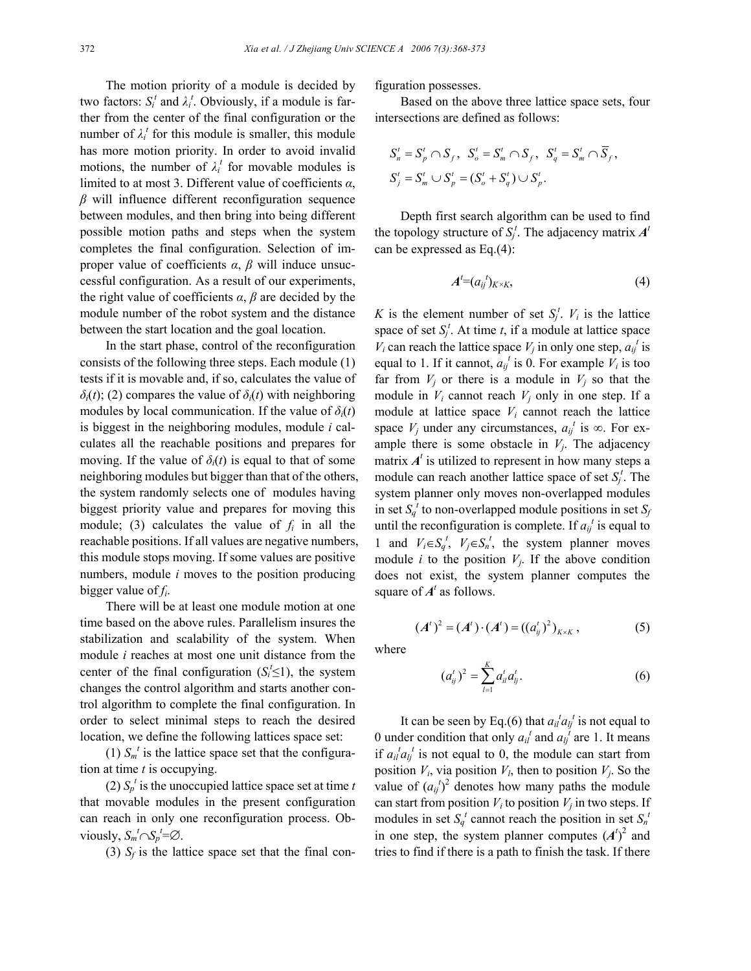The motion priority of a module is decided by two factors:  $S_i^t$  and  $\lambda_i^t$ . Obviously, if a module is farther from the center of the final configuration or the number of  $\lambda_i^t$  for this module is smaller, this module has more motion priority. In order to avoid invalid motions, the number of  $\lambda_i^t$  for movable modules is limited to at most 3. Different value of coefficients *α*, *β* will influence different reconfiguration sequence between modules, and then bring into being different possible motion paths and steps when the system completes the final configuration. Selection of improper value of coefficients *α*, *β* will induce unsuccessful configuration. As a result of our experiments, the right value of coefficients  $\alpha$ ,  $\beta$  are decided by the module number of the robot system and the distance between the start location and the goal location.

In the start phase, control of the reconfiguration consists of the following three steps. Each module (1) tests if it is movable and, if so, calculates the value of *δi*(*t*); (2) compares the value of *δi*(*t*) with neighboring modules by local communication. If the value of  $\delta_i(t)$ is biggest in the neighboring modules, module *i* calculates all the reachable positions and prepares for moving. If the value of  $\delta_i(t)$  is equal to that of some neighboring modules but bigger than that of the others, the system randomly selects one of modules having biggest priority value and prepares for moving this module; (3) calculates the value of  $f_i$  in all the reachable positions. If all values are negative numbers, this module stops moving. If some values are positive numbers, module *i* moves to the position producing bigger value of  $f_i$ .

There will be at least one module motion at one time based on the above rules. Parallelism insures the stabilization and scalability of the system. When module *i* reaches at most one unit distance from the center of the final configuration  $(S<sub>i</sub><sup>t</sup> \le 1)$ , the system changes the control algorithm and starts another control algorithm to complete the final configuration. In order to select minimal steps to reach the desired location, we define the following lattices space set:

(1)  $S_m^{\ t}$  is the lattice space set that the configuration at time *t* is occupying.

(2)  $S_p^t$  is the unoccupied lattice space set at time *t* that movable modules in the present configuration can reach in only one reconfiguration process. Obviously,  $S_m^t \cap S_p^t = \emptyset$ .

(3)  $S_f$  is the lattice space set that the final con-

figuration possesses.

Based on the above three lattice space sets, four intersections are defined as follows:

$$
S'_{n} = S'_{p} \cap S_{f}, \quad S'_{o} = S'_{m} \cap S_{f}, \quad S'_{q} = S'_{m} \cap \overline{S}_{f},
$$
  

$$
S'_{j} = S'_{m} \cup S'_{p} = (S'_{o} + S'_{q}) \cup S'_{p}.
$$

Depth first search algorithm can be used to find the topology structure of  $S_j^t$ . The adjacency matrix  $A^t$ can be expressed as Eq.(4):

$$
A^t = (a_{ij}^t)_{K \times K}, \tag{4}
$$

*K* is the element number of set  $S_j^t$ .  $V_i$  is the lattice space of set  $S_j^t$ . At time *t*, if a module at lattice space  $V_i$  can reach the lattice space  $V_j$  in only one step,  $a_{ij}^t$  is equal to 1. If it cannot,  $a_{ij}^t$  is 0. For example  $V_i$  is too far from  $V_i$  or there is a module in  $V_i$  so that the module in *Vi* cannot reach *Vj* only in one step. If a module at lattice space  $V_i$  cannot reach the lattice space  $V_j$  under any circumstances,  $a_{ij}^t$  is  $\infty$ . For example there is some obstacle in  $V_i$ . The adjacency matrix  $A<sup>t</sup>$  is utilized to represent in how many steps a module can reach another lattice space of set  $S_i^t$ . The system planner only moves non-overlapped modules in set  $S_q^t$  to non-overlapped module positions in set  $S_q$ until the reconfiguration is complete. If  $a_{ij}^t$  is equal to 1 and  $V_i \in S_q^t$ ,  $V_j \in S_n^t$ , the system planner moves module *i* to the position  $V_i$ . If the above condition does not exist, the system planner computes the square of  $A<sup>t</sup>$  as follows.

$$
(A')^{2} = (A') \cdot (A') = ((a'_{ij})^{2})_{K \times K}, \qquad (5)
$$

where

$$
(a'_{ij})^2 = \sum_{l=1}^K a'_{il} a'_{lj}.
$$
 (6)

It can be seen by Eq.(6) that  $a_{il}^{\ t}a_{lj}^{\ t}$  is not equal to 0 under condition that only  $a_{il}^t$  and  $a_{lj}^t$  are 1. It means if  $a_{il}^{\ t}a_{lj}^{\ t}$  is not equal to 0, the module can start from position  $V_i$ , via position  $V_i$ , then to position  $V_j$ . So the value of  $(a_{ij}^t)^2$  denotes how many paths the module can start from position  $V_i$  to position  $V_j$  in two steps. If modules in set  $S_q^t$  cannot reach the position in set  $S_n^t$ in one step, the system planner computes  $(A<sup>t</sup>)<sup>2</sup>$  and tries to find if there is a path to finish the task. If there